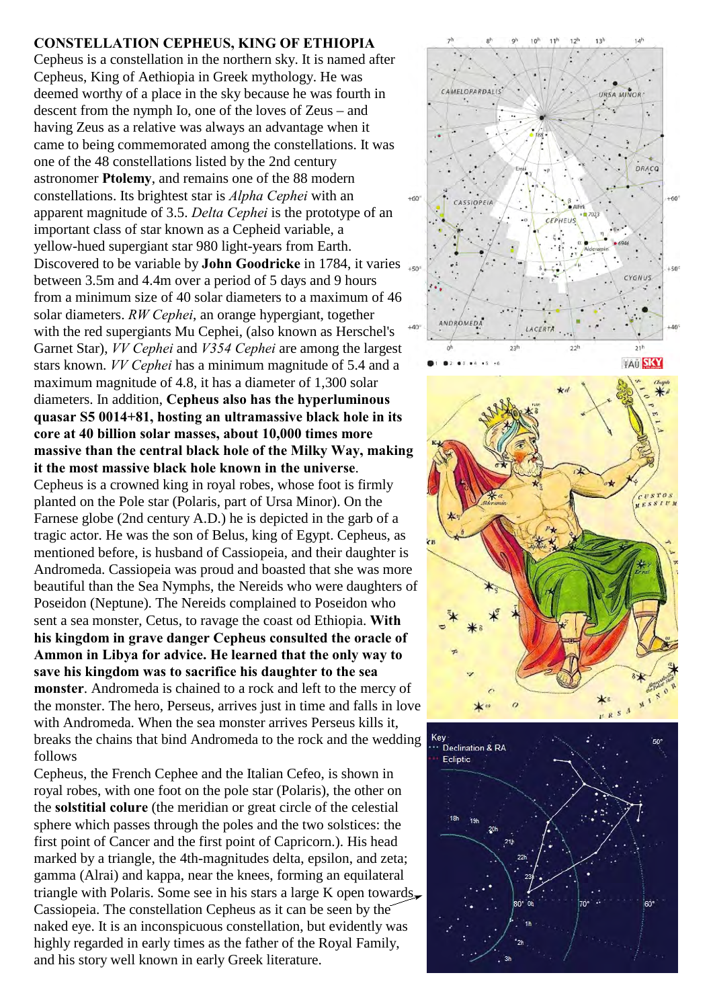## **CONSTELLATION CEPHEUS, KING OF ETHIOPIA**

Cepheus is a constellation in the northern sky. It is named after Cepheus, King of Aethiopia in Greek mythology. He was deemed worthy of a place in the sky because he was fourth in descent from the nymph Io, one of the loves of Zeus – and having Zeus as a relative was always an advantage when it came to being commemorated among the constellations. It was one of the 48 constellations listed by the 2nd century astronomer **Ptolemy**, and remains one of the 88 modern constellations. Its brightest star is *Alpha Cephei* with an apparent magnitude of 3.5. *Delta Cephei* is the prototype of an important class of star known as a Cepheid variable, a yellow-hued supergiant star 980 light-years from Earth. Discovered to be variable by **John Goodricke** in 1784, it varies between 3.5m and 4.4m over a period of 5 days and 9 hours from a minimum size of 40 solar diameters to a maximum of 46 solar diameters. *RW Cephei*, an orange hypergiant, together with the red supergiants Mu Cephei, (also known as Herschel's Garnet Star), *VV Cephei* and *V354 Cephei* are among the largest stars known. *VV Cephei* has a minimum magnitude of 5.4 and a maximum magnitude of 4.8, it has a diameter of 1,300 solar diameters. In addition, **Cepheus also has the hyperluminous quasar S5 0014+81, hosting an ultramassive black hole in its core at 40 billion solar masses, about 10,000 times more massive than the central black hole of the Milky Way, making it the most massive black hole known in the universe**. Cepheus is a crowned king in royal robes, whose foot is firmly planted on the Pole star (Polaris, part of Ursa Minor). On the Farnese globe (2nd century A.D.) he is depicted in the garb of a tragic actor. He was the son of Belus, king of Egypt. Cepheus, as mentioned before, is husband of Cassiopeia, and their daughter is Andromeda. Cassiopeia was proud and boasted that she was more beautiful than the Sea Nymphs, the Nereids who were daughters of Poseidon (Neptune). The Nereids complained to Poseidon who sent a sea monster, Cetus, to ravage the coast od Ethiopia. **With his kingdom in grave danger Cepheus consulted the oracle of Ammon in Libya for advice. He learned that the only way to save his kingdom was to sacrifice his daughter to the sea monster**. Andromeda is chained to a rock and left to the mercy of the monster. The hero, Perseus, arrives just in time and falls in love with Andromeda. When the sea monster arrives Perseus kills it, breaks the chains that bind Andromeda to the rock and the wedding follows

Cepheus, the French Cephee and the Italian Cefeo, is shown in royal robes, with one foot on the pole star (Polaris), the other on the **solstitial colure** (the meridian or great circle of the celestial sphere which passes through the poles and the two solstices: the first point of Cancer and the first point of Capricorn.). His head marked by a triangle, the 4th-magnitudes delta, epsilon, and zeta; gamma (Alrai) and kappa, near the knees, forming an equilateral triangle with Polaris. Some see in his stars a large K open towards Cassiopeia. The constellation Cepheus as it can be seen by the naked eye. It is an inconspicuous constellation, but evidently was highly regarded in early times as the father of the Royal Family, and his story well known in early Greek literature.